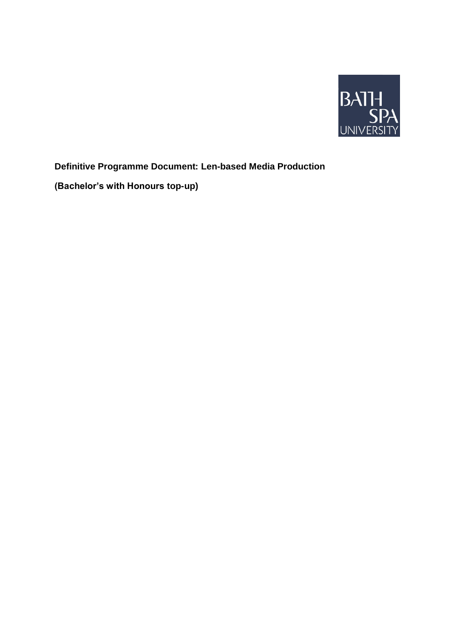

# **Definitive Programme Document: Len-based Media Production**

**(Bachelor's with Honours top-up)**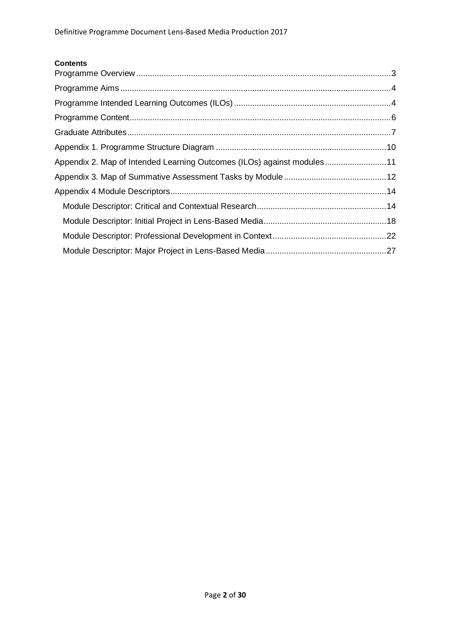# **Contents**

| Appendix 2. Map of Intended Learning Outcomes (ILOs) against modules11 |  |
|------------------------------------------------------------------------|--|
|                                                                        |  |
|                                                                        |  |
|                                                                        |  |
|                                                                        |  |
|                                                                        |  |
|                                                                        |  |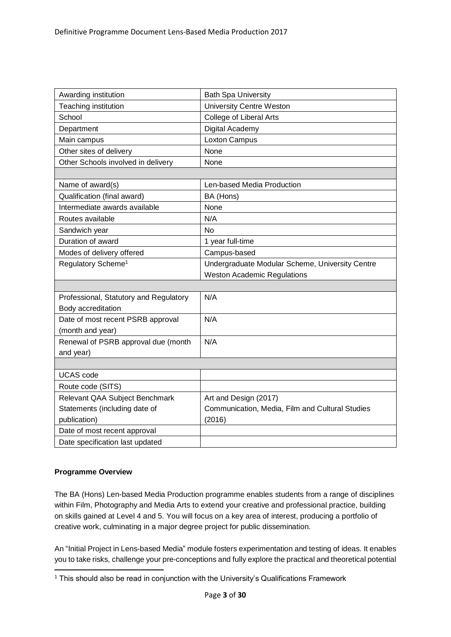| Awarding institution                   | <b>Bath Spa University</b>                      |
|----------------------------------------|-------------------------------------------------|
| Teaching institution                   | <b>University Centre Weston</b>                 |
| School                                 | <b>College of Liberal Arts</b>                  |
| Department                             | Digital Academy                                 |
| Main campus                            | Loxton Campus                                   |
| Other sites of delivery                | None                                            |
| Other Schools involved in delivery     | None                                            |
|                                        |                                                 |
| Name of award(s)                       | Len-based Media Production                      |
| Qualification (final award)            | BA (Hons)                                       |
| Intermediate awards available          | None                                            |
| Routes available                       | N/A                                             |
| Sandwich year                          | No                                              |
| Duration of award                      | 1 year full-time                                |
| Modes of delivery offered              | Campus-based                                    |
| Regulatory Scheme <sup>1</sup>         | Undergraduate Modular Scheme, University Centre |
|                                        | <b>Weston Academic Regulations</b>              |
|                                        |                                                 |
| Professional, Statutory and Regulatory | N/A                                             |
| Body accreditation                     |                                                 |
| Date of most recent PSRB approval      | N/A                                             |
| (month and year)                       |                                                 |
| Renewal of PSRB approval due (month    | N/A                                             |
| and year)                              |                                                 |
|                                        |                                                 |
| <b>UCAS</b> code                       |                                                 |
| Route code (SITS)                      |                                                 |
| Relevant QAA Subject Benchmark         | Art and Design (2017)                           |
| Statements (including date of          | Communication, Media, Film and Cultural Studies |
| publication)                           | (2016)                                          |
| Date of most recent approval           |                                                 |
| Date specification last updated        |                                                 |

# <span id="page-2-0"></span>**Programme Overview**

.

The BA (Hons) Len-based Media Production programme enables students from a range of disciplines within Film, Photography and Media Arts to extend your creative and professional practice, building on skills gained at Level 4 and 5. You will focus on a key area of interest, producing a portfolio of creative work, culminating in a major degree project for public dissemination.

An "Initial Project in Lens-based Media" module fosters experimentation and testing of ideas. It enables you to take risks, challenge your pre-conceptions and fully explore the practical and theoretical potential

<sup>&</sup>lt;sup>1</sup> This should also be read in conjunction with the University's Qualifications Framework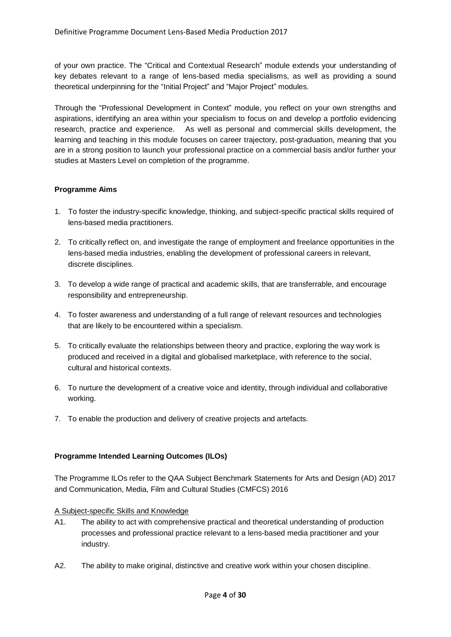of your own practice. The "Critical and Contextual Research" module extends your understanding of key debates relevant to a range of lens-based media specialisms, as well as providing a sound theoretical underpinning for the "Initial Project" and "Major Project" modules.

Through the "Professional Development in Context" module, you reflect on your own strengths and aspirations, identifying an area within your specialism to focus on and develop a portfolio evidencing research, practice and experience. As well as personal and commercial skills development, the learning and teaching in this module focuses on career trajectory, post-graduation, meaning that you are in a strong position to launch your professional practice on a commercial basis and/or further your studies at Masters Level on completion of the programme.

# <span id="page-3-0"></span>**Programme Aims**

- 1. To foster the industry-specific knowledge, thinking, and subject-specific practical skills required of lens-based media practitioners.
- 2. To critically reflect on, and investigate the range of employment and freelance opportunities in the lens-based media industries, enabling the development of professional careers in relevant, discrete disciplines.
- 3. To develop a wide range of practical and academic skills, that are transferrable, and encourage responsibility and entrepreneurship.
- 4. To foster awareness and understanding of a full range of relevant resources and technologies that are likely to be encountered within a specialism.
- 5. To critically evaluate the relationships between theory and practice, exploring the way work is produced and received in a digital and globalised marketplace, with reference to the social, cultural and historical contexts.
- 6. To nurture the development of a creative voice and identity, through individual and collaborative working.
- 7. To enable the production and delivery of creative projects and artefacts.

# <span id="page-3-1"></span>**Programme Intended Learning Outcomes (ILOs)**

The Programme ILOs refer to the QAA Subject Benchmark Statements for Arts and Design (AD) 2017 and Communication, Media, Film and Cultural Studies (CMFCS) 2016

# A Subject-specific Skills and Knowledge

- A1. The ability to act with comprehensive practical and theoretical understanding of production processes and professional practice relevant to a lens-based media practitioner and your industry.
- A2. The ability to make original, distinctive and creative work within your chosen discipline.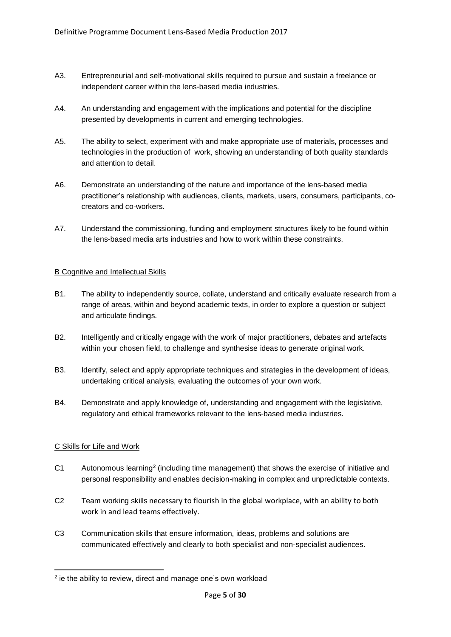- A3. Entrepreneurial and self-motivational skills required to pursue and sustain a freelance or independent career within the lens-based media industries.
- A4. An understanding and engagement with the implications and potential for the discipline presented by developments in current and emerging technologies.
- A5. The ability to select, experiment with and make appropriate use of materials, processes and technologies in the production of work, showing an understanding of both quality standards and attention to detail.
- A6. Demonstrate an understanding of the nature and importance of the lens-based media practitioner's relationship with audiences, clients, markets, users, consumers, participants, cocreators and co-workers.
- A7. Understand the commissioning, funding and employment structures likely to be found within the lens-based media arts industries and how to work within these constraints.

# B Cognitive and Intellectual Skills

- B1. The ability to independently source, collate, understand and critically evaluate research from a range of areas, within and beyond academic texts, in order to explore a question or subject and articulate findings.
- B2. Intelligently and critically engage with the work of major practitioners, debates and artefacts within your chosen field, to challenge and synthesise ideas to generate original work.
- B3. Identify, select and apply appropriate techniques and strategies in the development of ideas, undertaking critical analysis, evaluating the outcomes of your own work.
- B4. Demonstrate and apply knowledge of, understanding and engagement with the legislative, regulatory and ethical frameworks relevant to the lens-based media industries.

# C Skills for Life and Work

.

- C1 Autonomous learning<sup>2</sup> (including time management) that shows the exercise of initiative and personal responsibility and enables decision-making in complex and unpredictable contexts.
- C2 Team working skills necessary to flourish in the global workplace, with an ability to both work in and lead teams effectively.
- C3 Communication skills that ensure information, ideas, problems and solutions are communicated effectively and clearly to both specialist and non-specialist audiences.

<sup>&</sup>lt;sup>2</sup> ie the ability to review, direct and manage one's own workload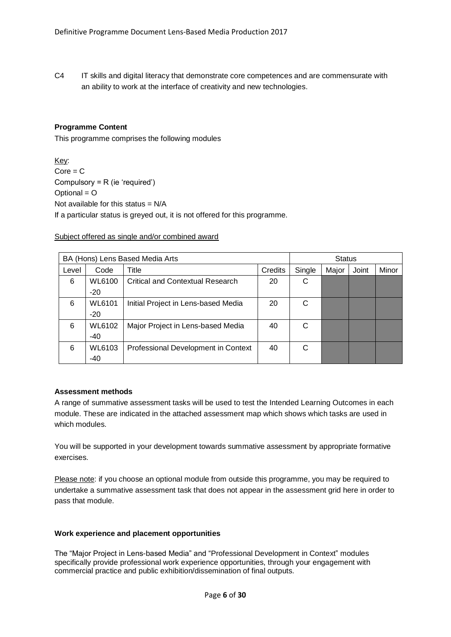C4 IT skills and digital literacy that demonstrate core competences and are commensurate with an ability to work at the interface of creativity and new technologies.

# <span id="page-5-0"></span>**Programme Content**

This programme comprises the following modules

Key:  $Core = C$ Compulsory = R (ie 'required') Optional = O Not available for this status  $= N/A$ If a particular status is greyed out, it is not offered for this programme.

# Subject offered as single and/or combined award

|       |               | BA (Hons) Lens Based Media Arts         |         | <b>Status</b> |       |       |       |  |
|-------|---------------|-----------------------------------------|---------|---------------|-------|-------|-------|--|
| Level | Code          | Title                                   | Credits | Single        | Major | Joint | Minor |  |
| 6     | WL6100        | <b>Critical and Contextual Research</b> | 20      | C             |       |       |       |  |
|       | $-20$         |                                         |         |               |       |       |       |  |
| 6     | <b>WL6101</b> | Initial Project in Lens-based Media     | 20      | C             |       |       |       |  |
|       | $-20$         |                                         |         |               |       |       |       |  |
| 6     | WL6102        | Major Project in Lens-based Media       | 40      | C             |       |       |       |  |
|       | $-40$         |                                         |         |               |       |       |       |  |
| 6     | WL6103        | Professional Development in Context     | 40      | C             |       |       |       |  |
|       | $-40$         |                                         |         |               |       |       |       |  |

# **Assessment methods**

A range of summative assessment tasks will be used to test the Intended Learning Outcomes in each module. These are indicated in the attached assessment map which shows which tasks are used in which modules.

You will be supported in your development towards summative assessment by appropriate formative exercises.

Please note: if you choose an optional module from outside this programme, you may be required to undertake a summative assessment task that does not appear in the assessment grid here in order to pass that module.

# **Work experience and placement opportunities**

The "Major Project in Lens-based Media" and "Professional Development in Context" modules specifically provide professional work experience opportunities, through your engagement with commercial practice and public exhibition/dissemination of final outputs.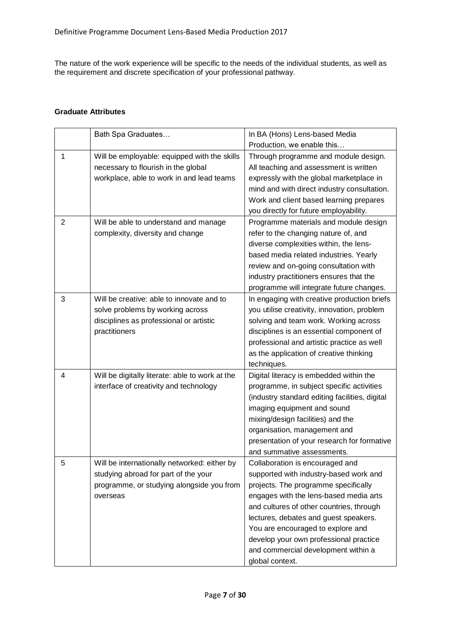The nature of the work experience will be specific to the needs of the individual students, as well as the requirement and discrete specification of your professional pathway.

# <span id="page-6-0"></span>**Graduate Attributes**

|                | Bath Spa Graduates                              | In BA (Hons) Lens-based Media                  |
|----------------|-------------------------------------------------|------------------------------------------------|
|                |                                                 | Production, we enable this                     |
| 1              | Will be employable: equipped with the skills    | Through programme and module design.           |
|                | necessary to flourish in the global             | All teaching and assessment is written         |
|                | workplace, able to work in and lead teams       | expressly with the global marketplace in       |
|                |                                                 | mind and with direct industry consultation.    |
|                |                                                 | Work and client based learning prepares        |
|                |                                                 | you directly for future employability.         |
| $\overline{2}$ | Will be able to understand and manage           | Programme materials and module design          |
|                | complexity, diversity and change                | refer to the changing nature of, and           |
|                |                                                 | diverse complexities within, the lens-         |
|                |                                                 | based media related industries. Yearly         |
|                |                                                 | review and on-going consultation with          |
|                |                                                 | industry practitioners ensures that the        |
|                |                                                 | programme will integrate future changes.       |
| 3              | Will be creative: able to innovate and to       | In engaging with creative production briefs    |
|                | solve problems by working across                | you utilise creativity, innovation, problem    |
|                | disciplines as professional or artistic         | solving and team work. Working across          |
|                | practitioners                                   | disciplines is an essential component of       |
|                |                                                 | professional and artistic practice as well     |
|                |                                                 | as the application of creative thinking        |
|                |                                                 | techniques.                                    |
| 4              | Will be digitally literate: able to work at the | Digital literacy is embedded within the        |
|                | interface of creativity and technology          | programme, in subject specific activities      |
|                |                                                 | (industry standard editing facilities, digital |
|                |                                                 | imaging equipment and sound                    |
|                |                                                 | mixing/design facilities) and the              |
|                |                                                 | organisation, management and                   |
|                |                                                 | presentation of your research for formative    |
|                |                                                 | and summative assessments.                     |
| 5              | Will be internationally networked: either by    | Collaboration is encouraged and                |
|                | studying abroad for part of the your            | supported with industry-based work and         |
|                | programme, or studying alongside you from       | projects. The programme specifically           |
|                | overseas                                        | engages with the lens-based media arts         |
|                |                                                 | and cultures of other countries, through       |
|                |                                                 | lectures, debates and guest speakers.          |
|                |                                                 | You are encouraged to explore and              |
|                |                                                 | develop your own professional practice         |
|                |                                                 | and commercial development within a            |
|                |                                                 | global context.                                |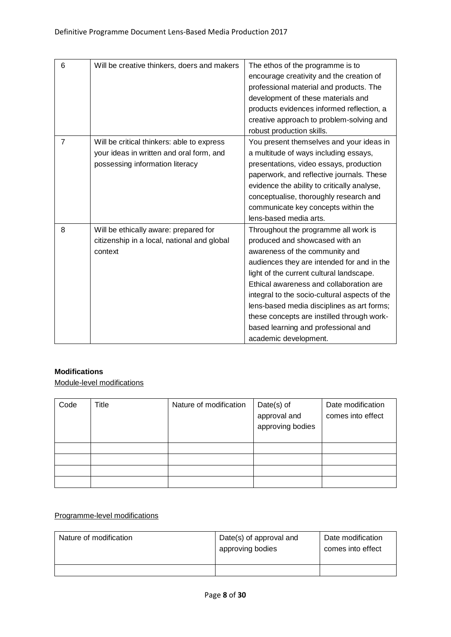| 6              | Will be creative thinkers, doers and makers                                                                               | The ethos of the programme is to<br>encourage creativity and the creation of<br>professional material and products. The<br>development of these materials and<br>products evidences informed reflection, a<br>creative approach to problem-solving and<br>robust production skills.                                                                                                                                                                        |
|----------------|---------------------------------------------------------------------------------------------------------------------------|------------------------------------------------------------------------------------------------------------------------------------------------------------------------------------------------------------------------------------------------------------------------------------------------------------------------------------------------------------------------------------------------------------------------------------------------------------|
| $\overline{7}$ | Will be critical thinkers: able to express<br>your ideas in written and oral form, and<br>possessing information literacy | You present themselves and your ideas in<br>a multitude of ways including essays,<br>presentations, video essays, production<br>paperwork, and reflective journals. These<br>evidence the ability to critically analyse,<br>conceptualise, thoroughly research and<br>communicate key concepts within the<br>lens-based media arts.                                                                                                                        |
| 8              | Will be ethically aware: prepared for<br>citizenship in a local, national and global<br>context                           | Throughout the programme all work is<br>produced and showcased with an<br>awareness of the community and<br>audiences they are intended for and in the<br>light of the current cultural landscape.<br>Ethical awareness and collaboration are<br>integral to the socio-cultural aspects of the<br>lens-based media disciplines as art forms;<br>these concepts are instilled through work-<br>based learning and professional and<br>academic development. |

# **Modifications**

Module-level modifications

| Code | Title | Nature of modification | $Date(s)$ of<br>approval and<br>approving bodies | Date modification<br>comes into effect |
|------|-------|------------------------|--------------------------------------------------|----------------------------------------|
|      |       |                        |                                                  |                                        |
|      |       |                        |                                                  |                                        |
|      |       |                        |                                                  |                                        |
|      |       |                        |                                                  |                                        |

# Programme-level modifications

| Nature of modification | Date(s) of approval and<br>approving bodies | Date modification<br>comes into effect |
|------------------------|---------------------------------------------|----------------------------------------|
|                        |                                             |                                        |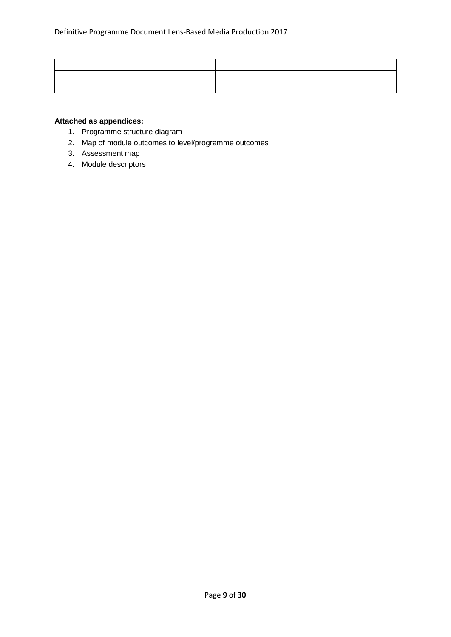# **Attached as appendices:**

- 1. Programme structure diagram
- 2. Map of module outcomes to level/programme outcomes
- 3. Assessment map
- 4. Module descriptors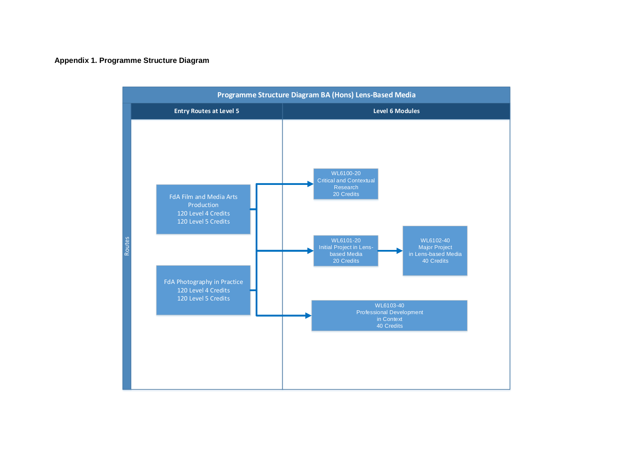# **Appendix 1. Programme Structure Diagram**

<span id="page-9-0"></span>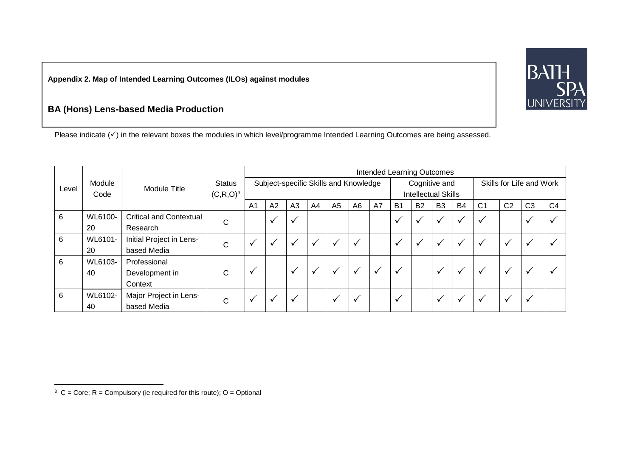**Appendix 2. Map of Intended Learning Outcomes (ILOs) against modules**

# **BA (Hons) Lens-based Media Production**

Please indicate (√) in the relevant boxes the modules in which level/programme Intended Learning Outcomes are being assessed.

|                 |         |                                |               | Intended Learning Outcomes |              |              |              |                |                                       |              |                |                            |                |              |                |                |                          |                |
|-----------------|---------|--------------------------------|---------------|----------------------------|--------------|--------------|--------------|----------------|---------------------------------------|--------------|----------------|----------------------------|----------------|--------------|----------------|----------------|--------------------------|----------------|
| Module<br>Level |         | Module Title                   | <b>Status</b> |                            |              |              |              |                | Subject-specific Skills and Knowledge |              |                | Cognitive and              |                |              |                |                | Skills for Life and Work |                |
|                 | Code    |                                | $(C, R, O)^3$ |                            |              |              |              |                |                                       |              |                | <b>Intellectual Skills</b> |                |              |                |                |                          |                |
|                 |         |                                |               | A <sub>1</sub>             | A2           | A3           | A4           | A <sub>5</sub> | A <sub>6</sub>                        | A7           | B <sub>1</sub> | <b>B2</b>                  | B <sub>3</sub> | <b>B4</b>    | C <sub>1</sub> | C <sub>2</sub> | C <sub>3</sub>           | C <sub>4</sub> |
| 6               | WL6100- | <b>Critical and Contextual</b> | C             |                            | $\checkmark$ |              |              |                |                                       |              | $\checkmark$   |                            | $\checkmark$   | $\mathbf{v}$ | $\checkmark$   |                |                          |                |
|                 | 20      | Research                       |               |                            |              |              |              |                |                                       |              |                |                            |                |              |                |                |                          |                |
| 6               | WL6101- | Initial Project in Lens-       | С             |                            | ✓            |              | $\checkmark$ |                | $\checkmark$                          |              | $\checkmark$   | v                          | ✓              | $\checkmark$ | $\checkmark$   | $\checkmark$   | $\checkmark$             |                |
|                 | 20      | based Media                    |               |                            |              |              |              |                |                                       |              |                |                            |                |              |                |                |                          |                |
| 6               | WL6103- | Professional                   |               |                            |              |              |              |                |                                       |              |                |                            |                |              |                |                |                          |                |
|                 | 40      | Development in                 | C             | v                          |              | $\checkmark$ | $\checkmark$ |                | $\checkmark$                          | $\checkmark$ | ✓              |                            | $\checkmark$   | $\checkmark$ | $\checkmark$   | $\checkmark$   |                          |                |
|                 |         | Context                        |               |                            |              |              |              |                |                                       |              |                |                            |                |              |                |                |                          |                |
| 6               | WL6102- | Major Project in Lens-         |               |                            |              |              |              |                | $\checkmark$                          |              | ✓              |                            | $\checkmark$   | v            | $\checkmark$   | ✓              |                          |                |
|                 | 40      | based Media                    | C             |                            |              |              |              |                |                                       |              |                |                            |                |              |                |                |                          |                |



 3 C = Core; R = Compulsory (ie required for this route); O = Optional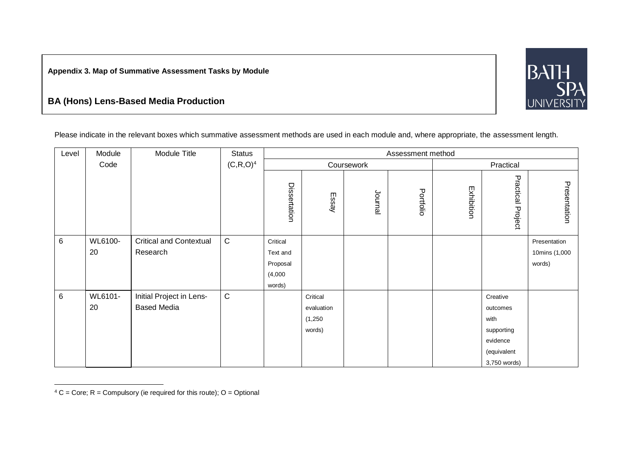**Appendix 3. Map of Summative Assessment Tasks by Module**

# **BA (Hons) Lens-Based Media Production**



Please indicate in the relevant boxes which summative assessment methods are used in each module and, where appropriate, the assessment length.

| Level          | Module  | Module Title                   | <b>Status</b> |              |            |         | Assessment method |            |                          |               |
|----------------|---------|--------------------------------|---------------|--------------|------------|---------|-------------------|------------|--------------------------|---------------|
|                | Code    |                                | $(C, R, O)^4$ |              | Coursework |         |                   |            |                          |               |
|                |         |                                |               | Dissertation | Essay      | Journal | Portfolio         | Exhibition | <b>Practical Project</b> | Presentation  |
| $6\phantom{a}$ | WL6100- | <b>Critical and Contextual</b> | ${\bf C}$     | Critical     |            |         |                   |            |                          | Presentation  |
|                | 20      | Research                       |               | Text and     |            |         |                   |            |                          | 10mins (1,000 |
|                |         |                                |               | Proposal     |            |         |                   |            |                          | words)        |
|                |         |                                |               | (4,000)      |            |         |                   |            |                          |               |
|                |         |                                |               | words)       |            |         |                   |            |                          |               |
| $6\phantom{a}$ | WL6101- | Initial Project in Lens-       | ${\bf C}$     |              | Critical   |         |                   |            | Creative                 |               |
|                | 20      | <b>Based Media</b>             |               |              | evaluation |         |                   |            | outcomes                 |               |
|                |         |                                |               |              | (1,250)    |         |                   |            | with                     |               |
|                |         |                                |               |              | words)     |         |                   |            | supporting               |               |
|                |         |                                |               |              |            |         |                   |            | evidence                 |               |
|                |         |                                |               |              |            |         |                   |            | (equivalent              |               |
|                |         |                                |               |              |            |         |                   |            | 3,750 words)             |               |

 $4 C = Core$ ; R = Compulsory (ie required for this route); O = Optional

 $\overline{a}$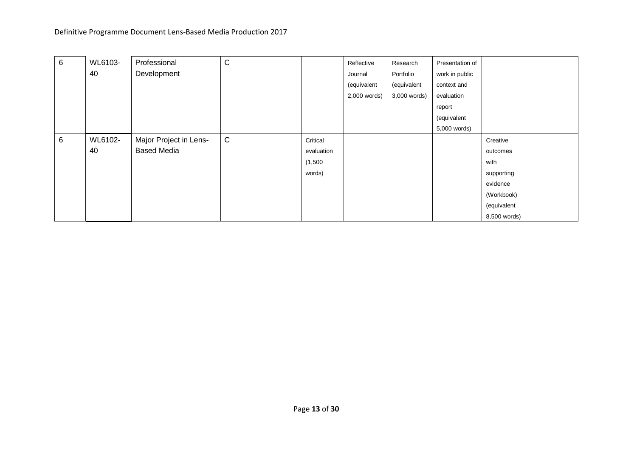| 6 | WL6103- | Professional           | $\mathsf C$ |            | Reflective   | Research     | Presentation of |              |  |
|---|---------|------------------------|-------------|------------|--------------|--------------|-----------------|--------------|--|
|   | 40      | Development            |             |            | Journal      | Portfolio    | work in public  |              |  |
|   |         |                        |             |            | (equivalent  | (equivalent  | context and     |              |  |
|   |         |                        |             |            | 2,000 words) | 3,000 words) | evaluation      |              |  |
|   |         |                        |             |            |              |              | report          |              |  |
|   |         |                        |             |            |              |              | (equivalent     |              |  |
|   |         |                        |             |            |              |              | 5,000 words)    |              |  |
| 6 | WL6102- | Major Project in Lens- | $\mathsf C$ | Critical   |              |              |                 | Creative     |  |
|   | 40      | <b>Based Media</b>     |             | evaluation |              |              |                 | outcomes     |  |
|   |         |                        |             | (1,500)    |              |              |                 | with         |  |
|   |         |                        |             | words)     |              |              |                 | supporting   |  |
|   |         |                        |             |            |              |              |                 | evidence     |  |
|   |         |                        |             |            |              |              |                 | (Workbook)   |  |
|   |         |                        |             |            |              |              |                 | (equivalent  |  |
|   |         |                        |             |            |              |              |                 | 8,500 words) |  |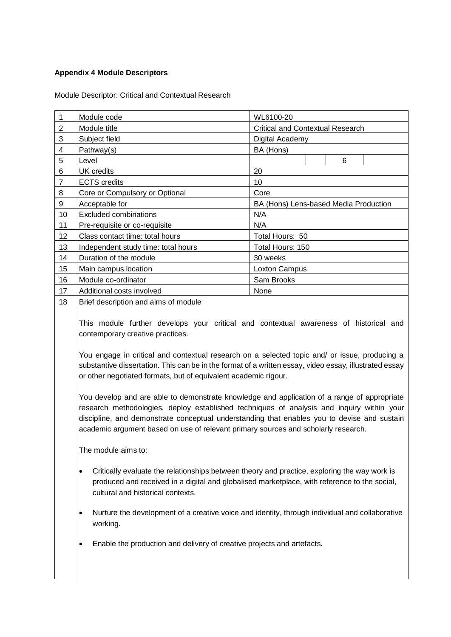# <span id="page-13-0"></span>**Appendix 4 Module Descriptors**

<span id="page-13-1"></span>Module Descriptor: Critical and Contextual Research

|                | Module code                         | WL6100-20                               |  |   |  |  |  |
|----------------|-------------------------------------|-----------------------------------------|--|---|--|--|--|
| 2              | Module title                        | <b>Critical and Contextual Research</b> |  |   |  |  |  |
| 3              | Subject field                       | Digital Academy                         |  |   |  |  |  |
| 4              | Pathway(s)                          | BA (Hons)                               |  |   |  |  |  |
| 5              | Level                               |                                         |  | 6 |  |  |  |
| 6              | UK credits                          | 20                                      |  |   |  |  |  |
| $\overline{7}$ | <b>ECTS</b> credits                 | 10                                      |  |   |  |  |  |
| 8              | Core or Compulsory or Optional      | Core                                    |  |   |  |  |  |
| 9              | Acceptable for                      | BA (Hons) Lens-based Media Production   |  |   |  |  |  |
| 10             | <b>Excluded combinations</b>        | N/A                                     |  |   |  |  |  |
| 11             | Pre-requisite or co-requisite       | N/A                                     |  |   |  |  |  |
| 12             | Class contact time: total hours     | Total Hours: 50                         |  |   |  |  |  |
| 13             | Independent study time: total hours | Total Hours: 150                        |  |   |  |  |  |
| 14             | Duration of the module              | 30 weeks                                |  |   |  |  |  |
| 15             | Main campus location                | Loxton Campus                           |  |   |  |  |  |
| 16             | Module co-ordinator                 | Sam Brooks                              |  |   |  |  |  |
| 17             | Additional costs involved           | None                                    |  |   |  |  |  |

18 | Brief description and aims of module

This module further develops your critical and contextual awareness of historical and contemporary creative practices.

You engage in critical and contextual research on a selected topic and/ or issue, producing a substantive dissertation. This can be in the format of a written essay, video essay, illustrated essay or other negotiated formats, but of equivalent academic rigour.

You develop and are able to demonstrate knowledge and application of a range of appropriate research methodologies, deploy established techniques of analysis and inquiry within your discipline, and demonstrate conceptual understanding that enables you to devise and sustain academic argument based on use of relevant primary sources and scholarly research.

The module aims to:

- Critically evaluate the relationships between theory and practice, exploring the way work is produced and received in a digital and globalised marketplace, with reference to the social, cultural and historical contexts.
- Nurture the development of a creative voice and identity, through individual and collaborative working.
- Enable the production and delivery of creative projects and artefacts.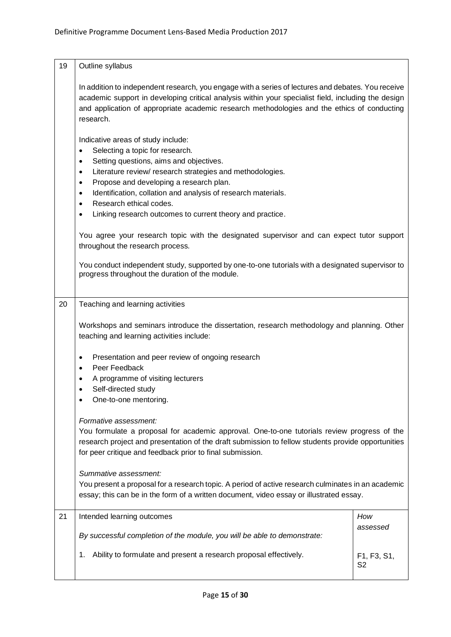| 19 | Outline syllabus                                                                                                                                                                                                                                                                                                                                                                                                                                                             |                               |  |
|----|------------------------------------------------------------------------------------------------------------------------------------------------------------------------------------------------------------------------------------------------------------------------------------------------------------------------------------------------------------------------------------------------------------------------------------------------------------------------------|-------------------------------|--|
|    | In addition to independent research, you engage with a series of lectures and debates. You receive<br>academic support in developing critical analysis within your specialist field, including the design<br>and application of appropriate academic research methodologies and the ethics of conducting<br>research.                                                                                                                                                        |                               |  |
|    | Indicative areas of study include:<br>Selecting a topic for research.<br>$\bullet$<br>Setting questions, aims and objectives.<br>$\bullet$<br>Literature review/ research strategies and methodologies.<br>$\bullet$<br>Propose and developing a research plan.<br>$\bullet$<br>Identification, collation and analysis of research materials.<br>$\bullet$<br>Research ethical codes.<br>$\bullet$<br>Linking research outcomes to current theory and practice.<br>$\bullet$ |                               |  |
|    | You agree your research topic with the designated supervisor and can expect tutor support<br>throughout the research process.                                                                                                                                                                                                                                                                                                                                                |                               |  |
|    | You conduct independent study, supported by one-to-one tutorials with a designated supervisor to<br>progress throughout the duration of the module.                                                                                                                                                                                                                                                                                                                          |                               |  |
| 20 | Teaching and learning activities                                                                                                                                                                                                                                                                                                                                                                                                                                             |                               |  |
|    | Workshops and seminars introduce the dissertation, research methodology and planning. Other<br>teaching and learning activities include:                                                                                                                                                                                                                                                                                                                                     |                               |  |
|    | Presentation and peer review of ongoing research<br>٠<br>Peer Feedback<br>A programme of visiting lecturers<br>Self-directed study<br>One-to-one mentoring.                                                                                                                                                                                                                                                                                                                  |                               |  |
|    | Formative assessment:<br>You formulate a proposal for academic approval. One-to-one tutorials review progress of the<br>research project and presentation of the draft submission to fellow students provide opportunities<br>for peer critique and feedback prior to final submission.                                                                                                                                                                                      |                               |  |
|    | Summative assessment:<br>You present a proposal for a research topic. A period of active research culminates in an academic<br>essay; this can be in the form of a written document, video essay or illustrated essay.                                                                                                                                                                                                                                                       |                               |  |
| 21 | Intended learning outcomes                                                                                                                                                                                                                                                                                                                                                                                                                                                   | How<br>assessed               |  |
|    | By successful completion of the module, you will be able to demonstrate:                                                                                                                                                                                                                                                                                                                                                                                                     |                               |  |
|    | Ability to formulate and present a research proposal effectively.<br>1.                                                                                                                                                                                                                                                                                                                                                                                                      | F1, F3, S1,<br>S <sub>2</sub> |  |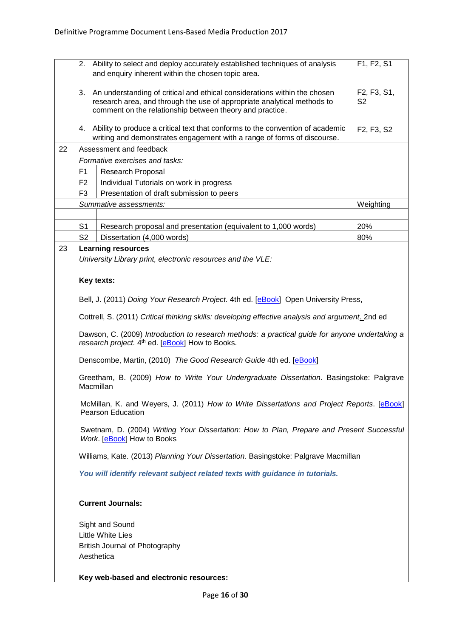|    |                                                                                                                                                                                                                        | 2. Ability to select and deploy accurately established techniques of analysis<br>and enquiry inherent within the chosen topic area.                       | F1, F2, S1                                       |  |
|----|------------------------------------------------------------------------------------------------------------------------------------------------------------------------------------------------------------------------|-----------------------------------------------------------------------------------------------------------------------------------------------------------|--------------------------------------------------|--|
|    | An understanding of critical and ethical considerations within the chosen<br>3.<br>research area, and through the use of appropriate analytical methods to<br>comment on the relationship between theory and practice. |                                                                                                                                                           | F2, F3, S1,<br>S <sub>2</sub>                    |  |
|    | 4.                                                                                                                                                                                                                     | Ability to produce a critical text that conforms to the convention of academic<br>writing and demonstrates engagement with a range of forms of discourse. | F <sub>2</sub> , F <sub>3</sub> , S <sub>2</sub> |  |
| 22 |                                                                                                                                                                                                                        | Assessment and feedback                                                                                                                                   |                                                  |  |
|    |                                                                                                                                                                                                                        | Formative exercises and tasks:                                                                                                                            |                                                  |  |
|    | F1                                                                                                                                                                                                                     | Research Proposal                                                                                                                                         |                                                  |  |
|    | F <sub>2</sub>                                                                                                                                                                                                         | Individual Tutorials on work in progress                                                                                                                  |                                                  |  |
|    | F3                                                                                                                                                                                                                     | Presentation of draft submission to peers                                                                                                                 |                                                  |  |
|    |                                                                                                                                                                                                                        | Summative assessments:                                                                                                                                    | Weighting                                        |  |
|    |                                                                                                                                                                                                                        |                                                                                                                                                           |                                                  |  |
|    | S <sub>1</sub>                                                                                                                                                                                                         | Research proposal and presentation (equivalent to 1,000 words)                                                                                            | 20%                                              |  |
|    | S <sub>2</sub>                                                                                                                                                                                                         | Dissertation (4,000 words)                                                                                                                                | 80%                                              |  |
| 23 |                                                                                                                                                                                                                        | <b>Learning resources</b>                                                                                                                                 |                                                  |  |
|    |                                                                                                                                                                                                                        | University Library print, electronic resources and the VLE:                                                                                               |                                                  |  |
|    |                                                                                                                                                                                                                        |                                                                                                                                                           |                                                  |  |
|    |                                                                                                                                                                                                                        | Key texts:                                                                                                                                                |                                                  |  |
|    |                                                                                                                                                                                                                        |                                                                                                                                                           |                                                  |  |
|    |                                                                                                                                                                                                                        | Bell, J. (2011) Doing Your Research Project. 4th ed. [eBook] Open University Press,                                                                       |                                                  |  |
|    | Cottrell, S. (2011) Critical thinking skills: developing effective analysis and argument. 2nd ed                                                                                                                       |                                                                                                                                                           |                                                  |  |
|    | Dawson, C. (2009) Introduction to research methods: a practical guide for anyone undertaking a<br>research project. 4 <sup>th</sup> ed. [ <b>eBook</b> ] How to Books.                                                 |                                                                                                                                                           |                                                  |  |
|    | Denscombe, Martin, (2010) The Good Research Guide 4th ed. [eBook]                                                                                                                                                      |                                                                                                                                                           |                                                  |  |
|    | Greetham, B. (2009) How to Write Your Undergraduate Dissertation. Basingstoke: Palgrave<br>Macmillan                                                                                                                   |                                                                                                                                                           |                                                  |  |
|    | McMillan, K. and Weyers, J. (2011) How to Write Dissertations and Project Reports. [eBook]<br><b>Pearson Education</b>                                                                                                 |                                                                                                                                                           |                                                  |  |
|    | Swetnam, D. (2004) Writing Your Dissertation: How to Plan, Prepare and Present Successful<br>Work. [ <b>eBook</b> ] How to Books                                                                                       |                                                                                                                                                           |                                                  |  |
|    |                                                                                                                                                                                                                        | Williams, Kate. (2013) Planning Your Dissertation. Basingstoke: Palgrave Macmillan                                                                        |                                                  |  |
|    |                                                                                                                                                                                                                        | You will identify relevant subject related texts with guidance in tutorials.                                                                              |                                                  |  |
|    |                                                                                                                                                                                                                        | <b>Current Journals:</b>                                                                                                                                  |                                                  |  |
|    |                                                                                                                                                                                                                        | Sight and Sound                                                                                                                                           |                                                  |  |
|    |                                                                                                                                                                                                                        | <b>Little White Lies</b>                                                                                                                                  |                                                  |  |
|    |                                                                                                                                                                                                                        | British Journal of Photography                                                                                                                            |                                                  |  |
|    |                                                                                                                                                                                                                        | Aesthetica                                                                                                                                                |                                                  |  |
|    |                                                                                                                                                                                                                        |                                                                                                                                                           |                                                  |  |
|    |                                                                                                                                                                                                                        | Key web-based and electronic resources:                                                                                                                   |                                                  |  |
|    |                                                                                                                                                                                                                        |                                                                                                                                                           |                                                  |  |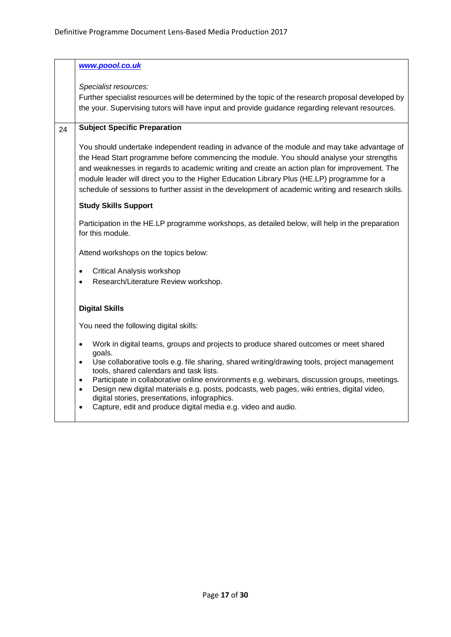|    | www.poool.co.uk                                                                                                                                                                                                                                                                                                                                                                                                                                                                                                                             |
|----|---------------------------------------------------------------------------------------------------------------------------------------------------------------------------------------------------------------------------------------------------------------------------------------------------------------------------------------------------------------------------------------------------------------------------------------------------------------------------------------------------------------------------------------------|
|    | Specialist resources:<br>Further specialist resources will be determined by the topic of the research proposal developed by<br>the your. Supervising tutors will have input and provide guidance regarding relevant resources.                                                                                                                                                                                                                                                                                                              |
| 24 | <b>Subject Specific Preparation</b>                                                                                                                                                                                                                                                                                                                                                                                                                                                                                                         |
|    | You should undertake independent reading in advance of the module and may take advantage of<br>the Head Start programme before commencing the module. You should analyse your strengths<br>and weaknesses in regards to academic writing and create an action plan for improvement. The<br>module leader will direct you to the Higher Education Library Plus (HE.LP) programme for a<br>schedule of sessions to further assist in the development of academic writing and research skills.                                                 |
|    | <b>Study Skills Support</b>                                                                                                                                                                                                                                                                                                                                                                                                                                                                                                                 |
|    | Participation in the HE.LP programme workshops, as detailed below, will help in the preparation<br>for this module.                                                                                                                                                                                                                                                                                                                                                                                                                         |
|    | Attend workshops on the topics below:                                                                                                                                                                                                                                                                                                                                                                                                                                                                                                       |
|    | <b>Critical Analysis workshop</b><br>$\bullet$<br>Research/Literature Review workshop.                                                                                                                                                                                                                                                                                                                                                                                                                                                      |
|    | <b>Digital Skills</b>                                                                                                                                                                                                                                                                                                                                                                                                                                                                                                                       |
|    | You need the following digital skills:                                                                                                                                                                                                                                                                                                                                                                                                                                                                                                      |
|    | Work in digital teams, groups and projects to produce shared outcomes or meet shared<br>$\bullet$<br>goals.<br>Use collaborative tools e.g. file sharing, shared writing/drawing tools, project management<br>$\bullet$<br>tools, shared calendars and task lists.<br>Participate in collaborative online environments e.g. webinars, discussion groups, meetings.<br>$\bullet$<br>Design new digital materials e.g. posts, podcasts, web pages, wiki entries, digital video,<br>$\bullet$<br>digital stories, presentations, infographics. |
|    | Capture, edit and produce digital media e.g. video and audio.                                                                                                                                                                                                                                                                                                                                                                                                                                                                               |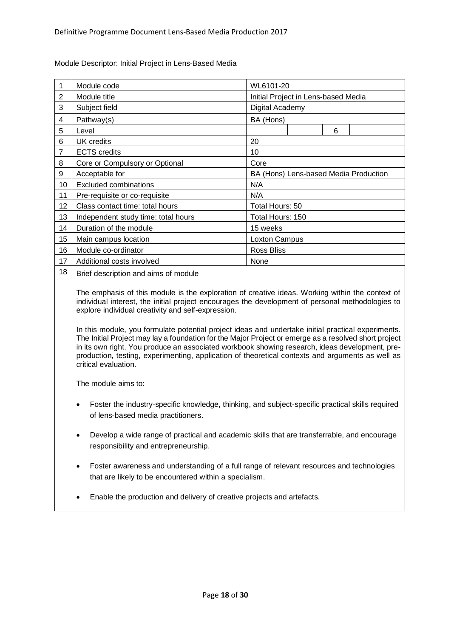| 1              | Module code                         | WL6101-20                             |  |  |
|----------------|-------------------------------------|---------------------------------------|--|--|
| $\overline{2}$ | Module title                        | Initial Project in Lens-based Media   |  |  |
| 3              | Subject field                       | Digital Academy                       |  |  |
| 4              | Pathway(s)                          | BA (Hons)                             |  |  |
| 5              | Level                               | 6                                     |  |  |
| 6              | UK credits                          | 20                                    |  |  |
| $\overline{7}$ | <b>ECTS</b> credits                 | 10                                    |  |  |
| 8              | Core or Compulsory or Optional      | Core                                  |  |  |
| 9              | Acceptable for                      | BA (Hons) Lens-based Media Production |  |  |
| 10             | <b>Excluded combinations</b>        | N/A                                   |  |  |
| 11             | Pre-requisite or co-requisite       | N/A                                   |  |  |
| 12             | Class contact time: total hours     | Total Hours: 50                       |  |  |
| 13             | Independent study time: total hours | Total Hours: 150                      |  |  |
| 14             | Duration of the module              | 15 weeks                              |  |  |
| 15             | Main campus location                | Loxton Campus                         |  |  |
| 16             | Module co-ordinator                 | <b>Ross Bliss</b>                     |  |  |
| 17             | Additional costs involved           | None                                  |  |  |
|                |                                     |                                       |  |  |

<span id="page-17-0"></span>Module Descriptor: Initial Project in Lens-Based Media

18 Brief description and aims of module

The emphasis of this module is the exploration of creative ideas. Working within the context of individual interest, the initial project encourages the development of personal methodologies to explore individual creativity and self-expression.

In this module, you formulate potential project ideas and undertake initial practical experiments. The Initial Project may lay a foundation for the Major Project or emerge as a resolved short project in its own right. You produce an associated workbook showing research, ideas development, preproduction, testing, experimenting, application of theoretical contexts and arguments as well as critical evaluation.

The module aims to:

- Foster the industry-specific knowledge, thinking, and subject-specific practical skills required of lens-based media practitioners.
- Develop a wide range of practical and academic skills that are transferrable, and encourage responsibility and entrepreneurship.
- Foster awareness and understanding of a full range of relevant resources and technologies that are likely to be encountered within a specialism.
- Enable the production and delivery of creative projects and artefacts.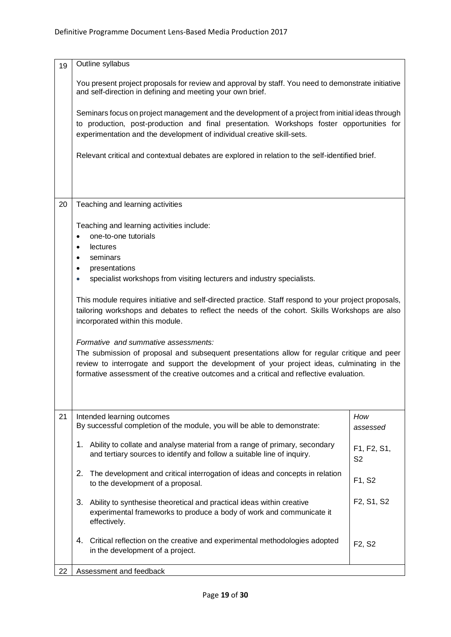| 19 | Outline syllabus                                                                                                                                                                                                                                                                                                                                                                                                                                                                                                                                                                                                                                                                                                                                                                                                              |                                 |  |
|----|-------------------------------------------------------------------------------------------------------------------------------------------------------------------------------------------------------------------------------------------------------------------------------------------------------------------------------------------------------------------------------------------------------------------------------------------------------------------------------------------------------------------------------------------------------------------------------------------------------------------------------------------------------------------------------------------------------------------------------------------------------------------------------------------------------------------------------|---------------------------------|--|
|    | You present project proposals for review and approval by staff. You need to demonstrate initiative<br>and self-direction in defining and meeting your own brief.                                                                                                                                                                                                                                                                                                                                                                                                                                                                                                                                                                                                                                                              |                                 |  |
|    | Seminars focus on project management and the development of a project from initial ideas through<br>to production, post-production and final presentation. Workshops foster opportunities for<br>experimentation and the development of individual creative skill-sets.                                                                                                                                                                                                                                                                                                                                                                                                                                                                                                                                                       |                                 |  |
|    | Relevant critical and contextual debates are explored in relation to the self-identified brief.                                                                                                                                                                                                                                                                                                                                                                                                                                                                                                                                                                                                                                                                                                                               |                                 |  |
| 20 | Teaching and learning activities                                                                                                                                                                                                                                                                                                                                                                                                                                                                                                                                                                                                                                                                                                                                                                                              |                                 |  |
|    | Teaching and learning activities include:<br>one-to-one tutorials<br><b>lectures</b><br>$\bullet$<br>seminars<br>$\bullet$<br>presentations<br>$\bullet$<br>specialist workshops from visiting lecturers and industry specialists.<br>$\bullet$<br>This module requires initiative and self-directed practice. Staff respond to your project proposals,<br>tailoring workshops and debates to reflect the needs of the cohort. Skills Workshops are also<br>incorporated within this module.<br>Formative and summative assessments:<br>The submission of proposal and subsequent presentations allow for regular critique and peer<br>review to interrogate and support the development of your project ideas, culminating in the<br>formative assessment of the creative outcomes and a critical and reflective evaluation. |                                 |  |
| 21 | Intended learning outcomes<br>By successful completion of the module, you will be able to demonstrate:                                                                                                                                                                                                                                                                                                                                                                                                                                                                                                                                                                                                                                                                                                                        | How<br>assessed                 |  |
|    | Ability to collate and analyse material from a range of primary, secondary<br>1.<br>and tertiary sources to identify and follow a suitable line of inquiry.                                                                                                                                                                                                                                                                                                                                                                                                                                                                                                                                                                                                                                                                   | F1, F2, S1,<br>S <sub>2</sub>   |  |
|    | The development and critical interrogation of ideas and concepts in relation<br>2.<br>to the development of a proposal.                                                                                                                                                                                                                                                                                                                                                                                                                                                                                                                                                                                                                                                                                                       | F1, S2                          |  |
|    | 3.<br>Ability to synthesise theoretical and practical ideas within creative<br>experimental frameworks to produce a body of work and communicate it<br>effectively.                                                                                                                                                                                                                                                                                                                                                                                                                                                                                                                                                                                                                                                           | F2, S1, S2                      |  |
|    | 4.<br>Critical reflection on the creative and experimental methodologies adopted<br>in the development of a project.                                                                                                                                                                                                                                                                                                                                                                                                                                                                                                                                                                                                                                                                                                          | F <sub>2</sub> , S <sub>2</sub> |  |
| 22 | Assessment and feedback                                                                                                                                                                                                                                                                                                                                                                                                                                                                                                                                                                                                                                                                                                                                                                                                       |                                 |  |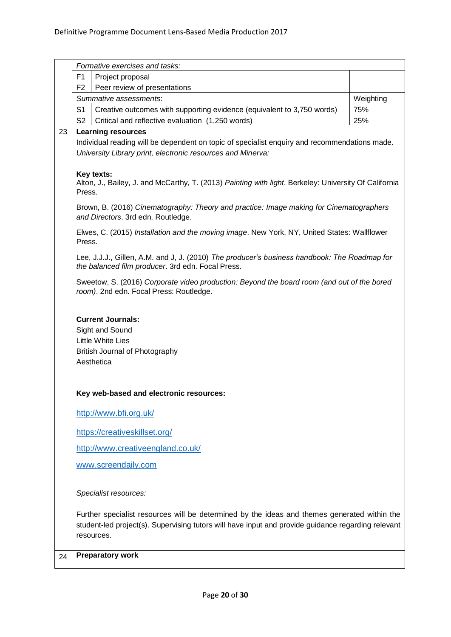|    | Formative exercises and tasks:                                                                                                                                                                                   |           |  |
|----|------------------------------------------------------------------------------------------------------------------------------------------------------------------------------------------------------------------|-----------|--|
|    | F <sub>1</sub><br>Project proposal                                                                                                                                                                               |           |  |
|    | F <sub>2</sub><br>Peer review of presentations                                                                                                                                                                   |           |  |
|    | Summative assessments:                                                                                                                                                                                           | Weighting |  |
|    | Creative outcomes with supporting evidence (equivalent to 3,750 words)<br>S <sub>1</sub>                                                                                                                         | 75%       |  |
|    | S <sub>2</sub><br>Critical and reflective evaluation (1,250 words)                                                                                                                                               | 25%       |  |
| 23 | <b>Learning resources</b><br>Individual reading will be dependent on topic of specialist enquiry and recommendations made.<br>University Library print, electronic resources and Minerva:                        |           |  |
|    | Key texts:<br>Alton, J., Bailey, J. and McCarthy, T. (2013) Painting with light. Berkeley: University Of California<br>Press.                                                                                    |           |  |
|    | Brown, B. (2016) Cinematography: Theory and practice: Image making for Cinematographers<br>and Directors. 3rd edn. Routledge.                                                                                    |           |  |
|    | Elwes, C. (2015) Installation and the moving image. New York, NY, United States: Wallflower<br>Press.                                                                                                            |           |  |
|    | Lee, J.J.J., Gillen, A.M. and J, J. (2010) The producer's business handbook: The Roadmap for<br>the balanced film producer. 3rd edn. Focal Press.                                                                |           |  |
|    | Sweetow, S. (2016) Corporate video production: Beyond the board room (and out of the bored<br>room). 2nd edn. Focal Press: Routledge.                                                                            |           |  |
|    | <b>Current Journals:</b><br>Sight and Sound<br>Little White Lies<br><b>British Journal of Photography</b><br>Aesthetica                                                                                          |           |  |
|    | Key web-based and electronic resources:                                                                                                                                                                          |           |  |
|    | http://www.bfi.org.uk/                                                                                                                                                                                           |           |  |
|    | https://creativeskillset.org/                                                                                                                                                                                    |           |  |
|    | http://www.creativeengland.co.uk/                                                                                                                                                                                |           |  |
|    | www.screendaily.com                                                                                                                                                                                              |           |  |
|    | Specialist resources:                                                                                                                                                                                            |           |  |
|    | Further specialist resources will be determined by the ideas and themes generated within the<br>student-led project(s). Supervising tutors will have input and provide guidance regarding relevant<br>resources. |           |  |
| 24 | <b>Preparatory work</b>                                                                                                                                                                                          |           |  |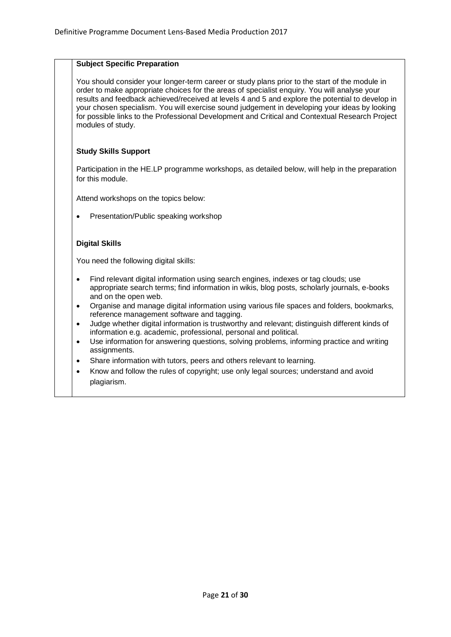# **Subject Specific Preparation**

You should consider your longer-term career or study plans prior to the start of the module in order to make appropriate choices for the areas of specialist enquiry. You will analyse your results and feedback achieved/received at levels 4 and 5 and explore the potential to develop in your chosen specialism. You will exercise sound judgement in developing your ideas by looking for possible links to the Professional Development and Critical and Contextual Research Project modules of study.

# **Study Skills Support**

Participation in the HE.LP programme workshops, as detailed below, will help in the preparation for this module.

Attend workshops on the topics below:

• Presentation/Public speaking workshop

#### **Digital Skills**

You need the following digital skills:

- Find relevant digital information using search engines, indexes or tag clouds; use appropriate search terms; find information in wikis, blog posts, scholarly journals, e-books and on the open web.
- Organise and manage digital information using various file spaces and folders, bookmarks, reference management software and tagging.
- Judge whether digital information is trustworthy and relevant; distinguish different kinds of information e.g. academic, professional, personal and political.
- Use information for answering questions, solving problems, informing practice and writing assignments.
- Share information with tutors, peers and others relevant to learning.
- Know and follow the rules of copyright; use only legal sources; understand and avoid plagiarism.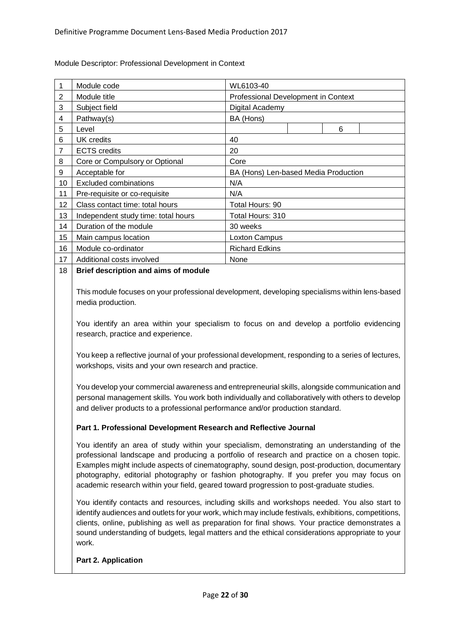| 1                       | Module code                                                                                                                                                                                                                                                                                                                                                                                                                                                                          | WL6103-40                            |  |
|-------------------------|--------------------------------------------------------------------------------------------------------------------------------------------------------------------------------------------------------------------------------------------------------------------------------------------------------------------------------------------------------------------------------------------------------------------------------------------------------------------------------------|--------------------------------------|--|
| $\overline{2}$          | Module title                                                                                                                                                                                                                                                                                                                                                                                                                                                                         | Professional Development in Context  |  |
| 3                       | Subject field                                                                                                                                                                                                                                                                                                                                                                                                                                                                        | Digital Academy                      |  |
| $\overline{\mathbf{4}}$ | Pathway(s)                                                                                                                                                                                                                                                                                                                                                                                                                                                                           | BA (Hons)                            |  |
| 5                       | Level                                                                                                                                                                                                                                                                                                                                                                                                                                                                                | 6                                    |  |
| 6                       | <b>UK</b> credits                                                                                                                                                                                                                                                                                                                                                                                                                                                                    | 40                                   |  |
| $\overline{7}$          | <b>ECTS</b> credits                                                                                                                                                                                                                                                                                                                                                                                                                                                                  | 20                                   |  |
| 8                       | Core or Compulsory or Optional                                                                                                                                                                                                                                                                                                                                                                                                                                                       | Core                                 |  |
| 9                       | Acceptable for                                                                                                                                                                                                                                                                                                                                                                                                                                                                       | BA (Hons) Len-based Media Production |  |
| 10                      | <b>Excluded combinations</b>                                                                                                                                                                                                                                                                                                                                                                                                                                                         | N/A                                  |  |
| 11                      | Pre-requisite or co-requisite                                                                                                                                                                                                                                                                                                                                                                                                                                                        | N/A                                  |  |
| 12                      | Class contact time: total hours                                                                                                                                                                                                                                                                                                                                                                                                                                                      | Total Hours: 90                      |  |
| 13                      | Independent study time: total hours                                                                                                                                                                                                                                                                                                                                                                                                                                                  | Total Hours: 310                     |  |
| 14                      | Duration of the module                                                                                                                                                                                                                                                                                                                                                                                                                                                               | 30 weeks                             |  |
| 15                      | Main campus location                                                                                                                                                                                                                                                                                                                                                                                                                                                                 | Loxton Campus                        |  |
| 16                      | Module co-ordinator                                                                                                                                                                                                                                                                                                                                                                                                                                                                  | <b>Richard Edkins</b>                |  |
| 17                      | Additional costs involved                                                                                                                                                                                                                                                                                                                                                                                                                                                            | None                                 |  |
| 18                      | Brief description and aims of module                                                                                                                                                                                                                                                                                                                                                                                                                                                 |                                      |  |
|                         | media production.<br>You identify an area within your specialism to focus on and develop a portfolio evidencing<br>research, practice and experience.                                                                                                                                                                                                                                                                                                                                |                                      |  |
|                         | You keep a reflective journal of your professional development, responding to a series of lectures,<br>workshops, visits and your own research and practice.                                                                                                                                                                                                                                                                                                                         |                                      |  |
|                         | You develop your commercial awareness and entrepreneurial skills, alongside communication and<br>personal management skills. You work both individually and collaboratively with others to develop<br>and deliver products to a professional performance and/or production standard.                                                                                                                                                                                                 |                                      |  |
|                         | Part 1. Professional Development Research and Reflective Journal                                                                                                                                                                                                                                                                                                                                                                                                                     |                                      |  |
|                         | You identify an area of study within your specialism, demonstrating an understanding of the<br>professional landscape and producing a portfolio of research and practice on a chosen topic.<br>Examples might include aspects of cinematography, sound design, post-production, documentary<br>photography, editorial photography or fashion photography. If you prefer you may focus on<br>academic research within your field, geared toward progression to post-graduate studies. |                                      |  |
|                         | You identify contacts and resources, including skills and workshops needed. You also start to<br>identify audiences and outlets for your work, which may include festivals, exhibitions, competitions,<br>clients, online, publishing as well as preparation for final shows. Your practice demonstrates a                                                                                                                                                                           |                                      |  |

<span id="page-21-0"></span>Module Descriptor: Professional Development in Context

# **Part 2. Application**

work.

sound understanding of budgets, legal matters and the ethical considerations appropriate to your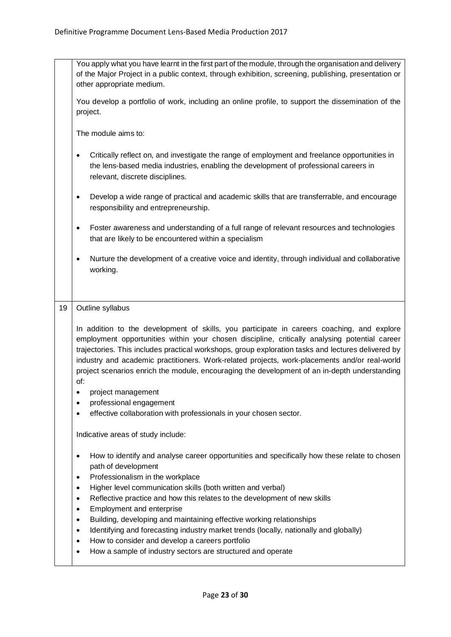|    | You apply what you have learnt in the first part of the module, through the organisation and delivery<br>of the Major Project in a public context, through exhibition, screening, publishing, presentation or<br>other appropriate medium.                                                                                                                                                                                                                                                                 |
|----|------------------------------------------------------------------------------------------------------------------------------------------------------------------------------------------------------------------------------------------------------------------------------------------------------------------------------------------------------------------------------------------------------------------------------------------------------------------------------------------------------------|
|    | You develop a portfolio of work, including an online profile, to support the dissemination of the<br>project.                                                                                                                                                                                                                                                                                                                                                                                              |
|    | The module aims to:                                                                                                                                                                                                                                                                                                                                                                                                                                                                                        |
|    | Critically reflect on, and investigate the range of employment and freelance opportunities in<br>$\bullet$<br>the lens-based media industries, enabling the development of professional careers in<br>relevant, discrete disciplines.                                                                                                                                                                                                                                                                      |
|    | Develop a wide range of practical and academic skills that are transferrable, and encourage<br>٠<br>responsibility and entrepreneurship.                                                                                                                                                                                                                                                                                                                                                                   |
|    | Foster awareness and understanding of a full range of relevant resources and technologies<br>$\bullet$<br>that are likely to be encountered within a specialism                                                                                                                                                                                                                                                                                                                                            |
|    | Nurture the development of a creative voice and identity, through individual and collaborative<br>$\bullet$<br>working.                                                                                                                                                                                                                                                                                                                                                                                    |
|    |                                                                                                                                                                                                                                                                                                                                                                                                                                                                                                            |
| 19 | Outline syllabus                                                                                                                                                                                                                                                                                                                                                                                                                                                                                           |
|    | In addition to the development of skills, you participate in careers coaching, and explore<br>employment opportunities within your chosen discipline, critically analysing potential career<br>trajectories. This includes practical workshops, group exploration tasks and lectures delivered by<br>industry and academic practitioners. Work-related projects, work-placements and/or real-world<br>project scenarios enrich the module, encouraging the development of an in-depth understanding<br>of: |
|    | project management                                                                                                                                                                                                                                                                                                                                                                                                                                                                                         |
|    | professional engagement<br>$\bullet$<br>effective collaboration with professionals in your chosen sector.<br>$\bullet$                                                                                                                                                                                                                                                                                                                                                                                     |
|    | Indicative areas of study include:                                                                                                                                                                                                                                                                                                                                                                                                                                                                         |
|    | How to identify and analyse career opportunities and specifically how these relate to chosen<br>٠<br>path of development<br>Professionalism in the workplace<br>٠                                                                                                                                                                                                                                                                                                                                          |
|    | Higher level communication skills (both written and verbal)<br>٠<br>Reflective practice and how this relates to the development of new skills<br>$\bullet$                                                                                                                                                                                                                                                                                                                                                 |
|    | Employment and enterprise<br>$\bullet$                                                                                                                                                                                                                                                                                                                                                                                                                                                                     |
|    | Building, developing and maintaining effective working relationships<br>$\bullet$<br>Identifying and forecasting industry market trends (locally, nationally and globally)<br>$\bullet$                                                                                                                                                                                                                                                                                                                    |
|    | How to consider and develop a careers portfolio<br>$\bullet$                                                                                                                                                                                                                                                                                                                                                                                                                                               |
|    | How a sample of industry sectors are structured and operate<br>٠                                                                                                                                                                                                                                                                                                                                                                                                                                           |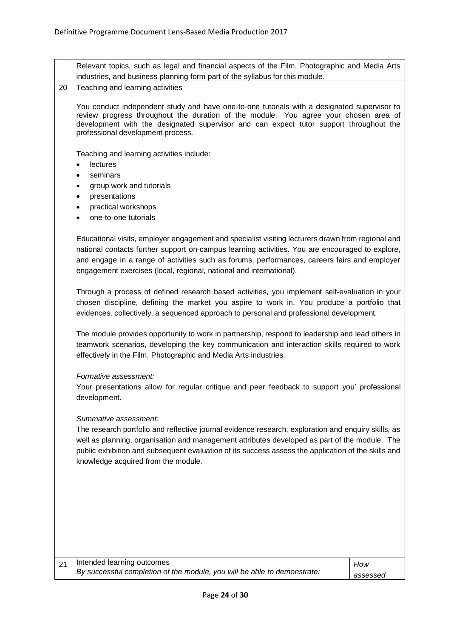|    | Relevant topics, such as legal and financial aspects of the Film, Photographic and Media Arts                                                                                                                                                                                                                                                                               |          |  |
|----|-----------------------------------------------------------------------------------------------------------------------------------------------------------------------------------------------------------------------------------------------------------------------------------------------------------------------------------------------------------------------------|----------|--|
|    | industries, and business planning form part of the syllabus for this module.                                                                                                                                                                                                                                                                                                |          |  |
| 20 | Teaching and learning activities                                                                                                                                                                                                                                                                                                                                            |          |  |
|    | You conduct independent study and have one-to-one tutorials with a designated supervisor to<br>review progress throughout the duration of the module. You agree your chosen area of<br>development with the designated supervisor and can expect tutor support throughout the<br>professional development process.                                                          |          |  |
|    | Teaching and learning activities include:<br><b>lectures</b><br>$\bullet$<br>seminars<br>٠<br>group work and tutorials<br>٠<br>presentations<br>٠                                                                                                                                                                                                                           |          |  |
|    | practical workshops<br>٠                                                                                                                                                                                                                                                                                                                                                    |          |  |
|    | one-to-one tutorials                                                                                                                                                                                                                                                                                                                                                        |          |  |
|    | Educational visits, employer engagement and specialist visiting lecturers drawn from regional and<br>national contacts further support on-campus learning activities. You are encouraged to explore,<br>and engage in a range of activities such as forums, performances, careers fairs and employer<br>engagement exercises (local, regional, national and international). |          |  |
|    | Through a process of defined research based activities, you implement self-evaluation in your<br>chosen discipline, defining the market you aspire to work in. You produce a portfolio that<br>evidences, collectively, a sequenced approach to personal and professional development.                                                                                      |          |  |
|    | The module provides opportunity to work in partnership, respond to leadership and lead others in<br>teamwork scenarios, developing the key communication and interaction skills required to work<br>effectively in the Film, Photographic and Media Arts industries.                                                                                                        |          |  |
|    | Formative assessment:<br>Your presentations allow for regular critique and peer feedback to support you' professional<br>development.                                                                                                                                                                                                                                       |          |  |
|    | Summative assessment:<br>The research portfolio and reflective journal evidence research, exploration and enquiry skills, as<br>well as planning, organisation and management attributes developed as part of the module. The<br>public exhibition and subsequent evaluation of its success assess the application of the skills and<br>knowledge acquired from the module. |          |  |
|    |                                                                                                                                                                                                                                                                                                                                                                             |          |  |
| 21 | Intended learning outcomes                                                                                                                                                                                                                                                                                                                                                  | How      |  |
|    | By successful completion of the module, you will be able to demonstrate:                                                                                                                                                                                                                                                                                                    | assessed |  |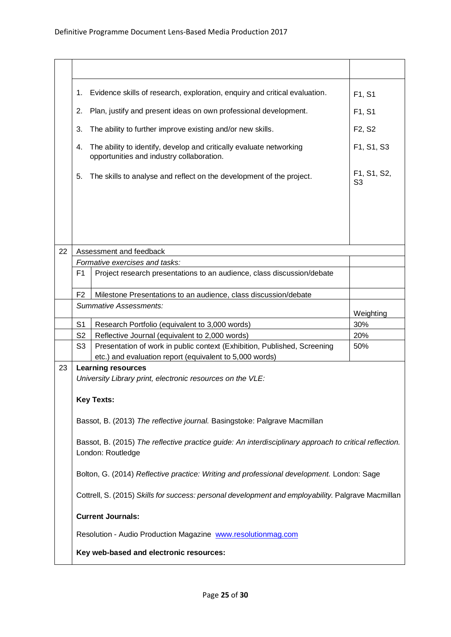|    | Evidence skills of research, exploration, enquiry and critical evaluation.<br>1.                                            |                                                                                                                  | F1, S1                        |
|----|-----------------------------------------------------------------------------------------------------------------------------|------------------------------------------------------------------------------------------------------------------|-------------------------------|
| 2. |                                                                                                                             | Plan, justify and present ideas on own professional development.                                                 | F1, S1                        |
|    | 3.                                                                                                                          | The ability to further improve existing and/or new skills.                                                       | F2, S2                        |
|    | 4.                                                                                                                          | The ability to identify, develop and critically evaluate networking<br>opportunities and industry collaboration. | F1, S1, S3                    |
|    | 5.                                                                                                                          | The skills to analyse and reflect on the development of the project.                                             | F1, S1, S2,<br>S <sub>3</sub> |
|    |                                                                                                                             |                                                                                                                  |                               |
|    |                                                                                                                             |                                                                                                                  |                               |
|    |                                                                                                                             |                                                                                                                  |                               |
| 22 |                                                                                                                             | Assessment and feedback                                                                                          |                               |
|    |                                                                                                                             | Formative exercises and tasks:                                                                                   |                               |
|    | F <sub>1</sub>                                                                                                              | Project research presentations to an audience, class discussion/debate                                           |                               |
|    | F <sub>2</sub>                                                                                                              | Milestone Presentations to an audience, class discussion/debate                                                  |                               |
|    |                                                                                                                             | <b>Summative Assessments:</b>                                                                                    |                               |
|    |                                                                                                                             |                                                                                                                  | Weighting                     |
|    | S <sub>1</sub>                                                                                                              | Research Portfolio (equivalent to 3,000 words)                                                                   | 30%                           |
|    | S <sub>2</sub>                                                                                                              | Reflective Journal (equivalent to 2,000 words)                                                                   | 20%                           |
|    | S <sub>3</sub>                                                                                                              | Presentation of work in public context (Exhibition, Published, Screening                                         | 50%                           |
| 23 |                                                                                                                             | etc.) and evaluation report (equivalent to 5,000 words)<br><b>Learning resources</b>                             |                               |
|    | University Library print, electronic resources on the VLE:                                                                  |                                                                                                                  |                               |
|    |                                                                                                                             |                                                                                                                  |                               |
|    |                                                                                                                             | <b>Key Texts:</b>                                                                                                |                               |
|    | Bassot, B. (2013) The reflective journal. Basingstoke: Palgrave Macmillan                                                   |                                                                                                                  |                               |
|    | Bassot, B. (2015) The reflective practice guide: An interdisciplinary approach to critical reflection.<br>London: Routledge |                                                                                                                  |                               |
|    |                                                                                                                             | Bolton, G. (2014) Reflective practice: Writing and professional development. London: Sage                        |                               |
|    |                                                                                                                             | Cottrell, S. (2015) Skills for success: personal development and employability. Palgrave Macmillan               |                               |
|    |                                                                                                                             | <b>Current Journals:</b>                                                                                         |                               |
|    | Resolution - Audio Production Magazine www.resolutionmag.com                                                                |                                                                                                                  |                               |
|    |                                                                                                                             | Key web-based and electronic resources:                                                                          |                               |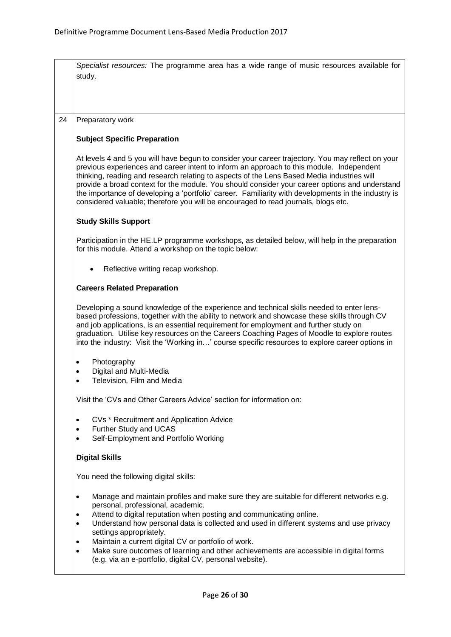|    | Specialist resources: The programme area has a wide range of music resources available for<br>study.                                                                                                                                                                                                                                                                                                                                                                                                                                                                                                    |  |  |  |
|----|---------------------------------------------------------------------------------------------------------------------------------------------------------------------------------------------------------------------------------------------------------------------------------------------------------------------------------------------------------------------------------------------------------------------------------------------------------------------------------------------------------------------------------------------------------------------------------------------------------|--|--|--|
| 24 | Preparatory work                                                                                                                                                                                                                                                                                                                                                                                                                                                                                                                                                                                        |  |  |  |
|    | <b>Subject Specific Preparation</b>                                                                                                                                                                                                                                                                                                                                                                                                                                                                                                                                                                     |  |  |  |
|    | At levels 4 and 5 you will have begun to consider your career trajectory. You may reflect on your<br>previous experiences and career intent to inform an approach to this module. Independent<br>thinking, reading and research relating to aspects of the Lens Based Media industries will<br>provide a broad context for the module. You should consider your career options and understand<br>the importance of developing a 'portfolio' career. Familiarity with developments in the industry is<br>considered valuable; therefore you will be encouraged to read journals, blogs etc.              |  |  |  |
|    | <b>Study Skills Support</b>                                                                                                                                                                                                                                                                                                                                                                                                                                                                                                                                                                             |  |  |  |
|    | Participation in the HE.LP programme workshops, as detailed below, will help in the preparation<br>for this module. Attend a workshop on the topic below:                                                                                                                                                                                                                                                                                                                                                                                                                                               |  |  |  |
|    | Reflective writing recap workshop.                                                                                                                                                                                                                                                                                                                                                                                                                                                                                                                                                                      |  |  |  |
|    | <b>Careers Related Preparation</b>                                                                                                                                                                                                                                                                                                                                                                                                                                                                                                                                                                      |  |  |  |
|    | Developing a sound knowledge of the experience and technical skills needed to enter lens-<br>based professions, together with the ability to network and showcase these skills through CV<br>and job applications, is an essential requirement for employment and further study on<br>graduation. Utilise key resources on the Careers Coaching Pages of Moodle to explore routes<br>into the industry: Visit the 'Working in' course specific resources to explore career options in                                                                                                                   |  |  |  |
|    | Photography<br>$\bullet$                                                                                                                                                                                                                                                                                                                                                                                                                                                                                                                                                                                |  |  |  |
|    | Digital and Multi-Media<br>٠<br>Television, Film and Media                                                                                                                                                                                                                                                                                                                                                                                                                                                                                                                                              |  |  |  |
|    | Visit the 'CVs and Other Careers Advice' section for information on:                                                                                                                                                                                                                                                                                                                                                                                                                                                                                                                                    |  |  |  |
|    | CVs * Recruitment and Application Advice<br>٠                                                                                                                                                                                                                                                                                                                                                                                                                                                                                                                                                           |  |  |  |
|    | Further Study and UCAS<br>$\bullet$<br>Self-Employment and Portfolio Working<br>$\bullet$                                                                                                                                                                                                                                                                                                                                                                                                                                                                                                               |  |  |  |
|    | <b>Digital Skills</b>                                                                                                                                                                                                                                                                                                                                                                                                                                                                                                                                                                                   |  |  |  |
|    | You need the following digital skills:                                                                                                                                                                                                                                                                                                                                                                                                                                                                                                                                                                  |  |  |  |
|    | Manage and maintain profiles and make sure they are suitable for different networks e.g.<br>$\bullet$<br>personal, professional, academic.<br>Attend to digital reputation when posting and communicating online.<br>$\bullet$<br>Understand how personal data is collected and used in different systems and use privacy<br>$\bullet$<br>settings appropriately.<br>Maintain a current digital CV or portfolio of work.<br>$\bullet$<br>Make sure outcomes of learning and other achievements are accessible in digital forms<br>$\bullet$<br>(e.g. via an e-portfolio, digital CV, personal website). |  |  |  |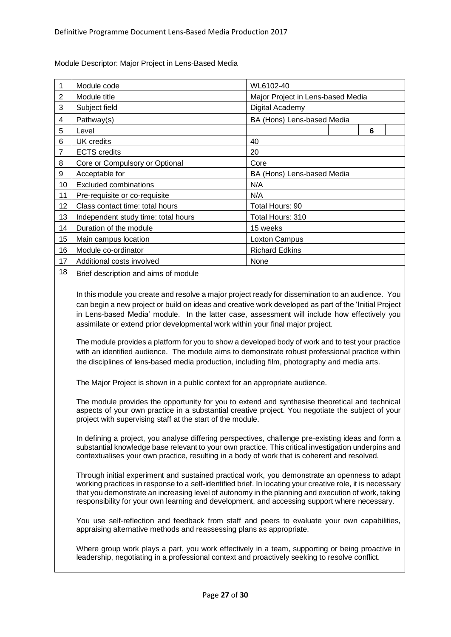| 1              | Module code                         | WL6102-40                         |   |  |
|----------------|-------------------------------------|-----------------------------------|---|--|
| $\overline{2}$ | Module title                        | Major Project in Lens-based Media |   |  |
| 3              | Subject field                       | Digital Academy                   |   |  |
| 4              | Pathway(s)                          | BA (Hons) Lens-based Media        |   |  |
| 5              | Level                               |                                   | 6 |  |
| 6              | UK credits                          | 40                                |   |  |
| $\overline{7}$ | <b>ECTS</b> credits                 | 20                                |   |  |
| 8              | Core or Compulsory or Optional      | Core                              |   |  |
| 9              | Acceptable for                      | BA (Hons) Lens-based Media        |   |  |
| 10             | <b>Excluded combinations</b>        | N/A                               |   |  |
| 11             | Pre-requisite or co-requisite       | N/A                               |   |  |
| 12             | Class contact time: total hours     | Total Hours: 90                   |   |  |
| 13             | Independent study time: total hours | Total Hours: 310                  |   |  |
| 14             | Duration of the module              | 15 weeks                          |   |  |
| 15             | Main campus location                | Loxton Campus                     |   |  |
| 16             | Module co-ordinator                 | <b>Richard Edkins</b>             |   |  |
| 17             | Additional costs involved           | None                              |   |  |
| 18             | <b>Replacement of module</b>        |                                   |   |  |

<span id="page-26-0"></span>Module Descriptor: Major Project in Lens-Based Media

18 Brief description and aims of module

In this module you create and resolve a major project ready for dissemination to an audience. You can begin a new project or build on ideas and creative work developed as part of the 'Initial Project in Lens-based Media' module. In the latter case, assessment will include how effectively you assimilate or extend prior developmental work within your final major project.

The module provides a platform for you to show a developed body of work and to test your practice with an identified audience. The module aims to demonstrate robust professional practice within the disciplines of lens-based media production, including film, photography and media arts.

The Major Project is shown in a public context for an appropriate audience.

The module provides the opportunity for you to extend and synthesise theoretical and technical aspects of your own practice in a substantial creative project. You negotiate the subject of your project with supervising staff at the start of the module.

In defining a project, you analyse differing perspectives, challenge pre-existing ideas and form a substantial knowledge base relevant to your own practice. This critical investigation underpins and contextualises your own practice, resulting in a body of work that is coherent and resolved.

Through initial experiment and sustained practical work, you demonstrate an openness to adapt working practices in response to a self-identified brief. In locating your creative role, it is necessary that youdemonstrate an increasing level of autonomy in the planning and execution of work, taking responsibility for your own learning and development, and accessing support where necessary.

You use self-reflection and feedback from staff and peers to evaluate your own capabilities, appraising alternative methods and reassessing plans as appropriate.

Where group work plays a part, you work effectively in a team, supporting or being proactive in leadership, negotiating in a professional context and proactively seeking to resolve conflict.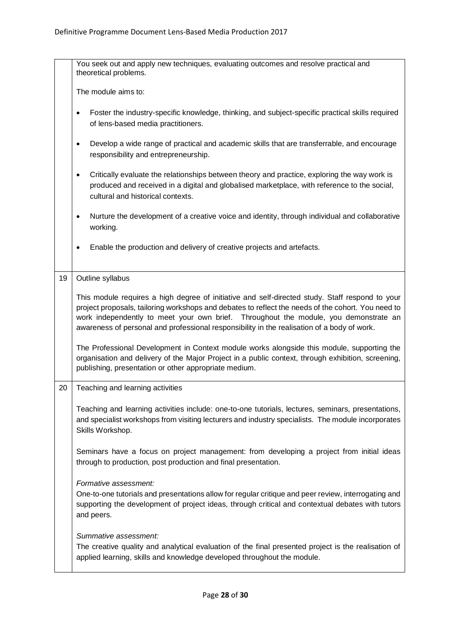|    | You seek out and apply new techniques, evaluating outcomes and resolve practical and<br>theoretical problems.                                                                                                                                                                                                                                                                                |  |  |
|----|----------------------------------------------------------------------------------------------------------------------------------------------------------------------------------------------------------------------------------------------------------------------------------------------------------------------------------------------------------------------------------------------|--|--|
|    | The module aims to:                                                                                                                                                                                                                                                                                                                                                                          |  |  |
|    | Foster the industry-specific knowledge, thinking, and subject-specific practical skills required<br>٠<br>of lens-based media practitioners.                                                                                                                                                                                                                                                  |  |  |
|    | Develop a wide range of practical and academic skills that are transferrable, and encourage<br>٠<br>responsibility and entrepreneurship.                                                                                                                                                                                                                                                     |  |  |
|    | Critically evaluate the relationships between theory and practice, exploring the way work is<br>٠<br>produced and received in a digital and globalised marketplace, with reference to the social,<br>cultural and historical contexts.                                                                                                                                                       |  |  |
|    | Nurture the development of a creative voice and identity, through individual and collaborative<br>٠<br>working.                                                                                                                                                                                                                                                                              |  |  |
|    | Enable the production and delivery of creative projects and artefacts.                                                                                                                                                                                                                                                                                                                       |  |  |
| 19 | Outline syllabus                                                                                                                                                                                                                                                                                                                                                                             |  |  |
|    | This module requires a high degree of initiative and self-directed study. Staff respond to your<br>project proposals, tailoring workshops and debates to reflect the needs of the cohort. You need to<br>work independently to meet your own brief. Throughout the module, you demonstrate an<br>awareness of personal and professional responsibility in the realisation of a body of work. |  |  |
|    | The Professional Development in Context module works alongside this module, supporting the<br>organisation and delivery of the Major Project in a public context, through exhibition, screening,<br>publishing, presentation or other appropriate medium.                                                                                                                                    |  |  |
| 20 | Teaching and learning activities                                                                                                                                                                                                                                                                                                                                                             |  |  |
|    | Teaching and learning activities include: one-to-one tutorials, lectures, seminars, presentations,<br>and specialist workshops from visiting lecturers and industry specialists. The module incorporates<br>Skills Workshop.                                                                                                                                                                 |  |  |
|    | Seminars have a focus on project management: from developing a project from initial ideas<br>through to production, post production and final presentation.                                                                                                                                                                                                                                  |  |  |
|    | Formative assessment:<br>One-to-one tutorials and presentations allow for regular critique and peer review, interrogating and<br>supporting the development of project ideas, through critical and contextual debates with tutors<br>and peers.                                                                                                                                              |  |  |
|    | Summative assessment:<br>The creative quality and analytical evaluation of the final presented project is the realisation of<br>applied learning, skills and knowledge developed throughout the module.                                                                                                                                                                                      |  |  |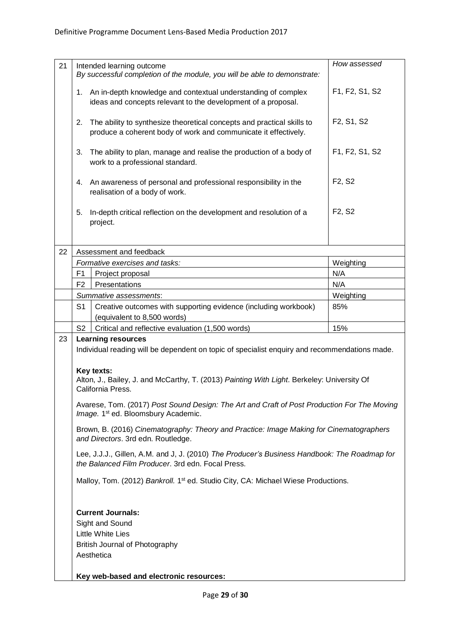| 21 | Intended learning outcome                                                                                                     | How assessed                                     |  |  |
|----|-------------------------------------------------------------------------------------------------------------------------------|--------------------------------------------------|--|--|
|    | By successful completion of the module, you will be able to demonstrate:                                                      |                                                  |  |  |
|    |                                                                                                                               |                                                  |  |  |
|    | An in-depth knowledge and contextual understanding of complex<br>1.                                                           | F1, F2, S1, S2                                   |  |  |
|    | ideas and concepts relevant to the development of a proposal.                                                                 |                                                  |  |  |
|    |                                                                                                                               |                                                  |  |  |
|    | The ability to synthesize theoretical concepts and practical skills to<br>2.                                                  | F <sub>2</sub> , S <sub>1</sub> , S <sub>2</sub> |  |  |
|    | produce a coherent body of work and communicate it effectively.                                                               |                                                  |  |  |
|    | 3.<br>The ability to plan, manage and realise the production of a body of                                                     | F1, F2, S1, S2                                   |  |  |
|    | work to a professional standard.                                                                                              |                                                  |  |  |
|    |                                                                                                                               |                                                  |  |  |
|    | An awareness of personal and professional responsibility in the<br>4.                                                         | F <sub>2</sub> , S <sub>2</sub>                  |  |  |
|    | realisation of a body of work.                                                                                                |                                                  |  |  |
|    |                                                                                                                               |                                                  |  |  |
|    | In-depth critical reflection on the development and resolution of a<br>5.                                                     | F <sub>2</sub> , S <sub>2</sub>                  |  |  |
|    | project.                                                                                                                      |                                                  |  |  |
|    |                                                                                                                               |                                                  |  |  |
|    |                                                                                                                               |                                                  |  |  |
| 22 | Assessment and feedback                                                                                                       |                                                  |  |  |
|    | Formative exercises and tasks:                                                                                                | Weighting                                        |  |  |
|    | F1<br>Project proposal                                                                                                        | N/A                                              |  |  |
|    | Presentations<br>F <sub>2</sub>                                                                                               | N/A                                              |  |  |
|    | Summative assessments:                                                                                                        | Weighting                                        |  |  |
|    | S <sub>1</sub><br>Creative outcomes with supporting evidence (including workbook)                                             | 85%                                              |  |  |
|    | (equivalent to 8,500 words)                                                                                                   |                                                  |  |  |
|    | S <sub>2</sub><br>Critical and reflective evaluation (1,500 words)                                                            | 15%                                              |  |  |
| 23 | <b>Learning resources</b>                                                                                                     |                                                  |  |  |
|    | Individual reading will be dependent on topic of specialist enquiry and recommendations made.                                 |                                                  |  |  |
|    |                                                                                                                               |                                                  |  |  |
|    | Key texts:                                                                                                                    |                                                  |  |  |
|    | Alton, J., Bailey, J. and McCarthy, T. (2013) Painting With Light. Berkeley: University Of                                    |                                                  |  |  |
|    | California Press.                                                                                                             |                                                  |  |  |
|    | Avarese, Tom. (2017) Post Sound Design: The Art and Craft of Post Production For The Moving                                   |                                                  |  |  |
|    | Image. 1 <sup>st</sup> ed. Bloomsbury Academic.                                                                               |                                                  |  |  |
|    |                                                                                                                               |                                                  |  |  |
|    | Brown, B. (2016) Cinematography: Theory and Practice: Image Making for Cinematographers<br>and Directors. 3rd edn. Routledge. |                                                  |  |  |
|    |                                                                                                                               |                                                  |  |  |
|    | Lee, J.J.J., Gillen, A.M. and J, J. (2010) The Producer's Business Handbook: The Roadmap for                                  |                                                  |  |  |
|    | the Balanced Film Producer. 3rd edn. Focal Press.                                                                             |                                                  |  |  |
|    |                                                                                                                               |                                                  |  |  |
|    | Malloy, Tom. (2012) Bankroll. 1 <sup>st</sup> ed. Studio City, CA: Michael Wiese Productions.                                 |                                                  |  |  |
|    |                                                                                                                               |                                                  |  |  |
|    |                                                                                                                               |                                                  |  |  |
|    | <b>Current Journals:</b>                                                                                                      |                                                  |  |  |
|    | Sight and Sound                                                                                                               |                                                  |  |  |
|    | <b>Little White Lies</b><br>British Journal of Photography                                                                    |                                                  |  |  |
|    |                                                                                                                               |                                                  |  |  |
|    | Aesthetica                                                                                                                    |                                                  |  |  |
|    |                                                                                                                               |                                                  |  |  |
|    | Key web-based and electronic resources:                                                                                       |                                                  |  |  |